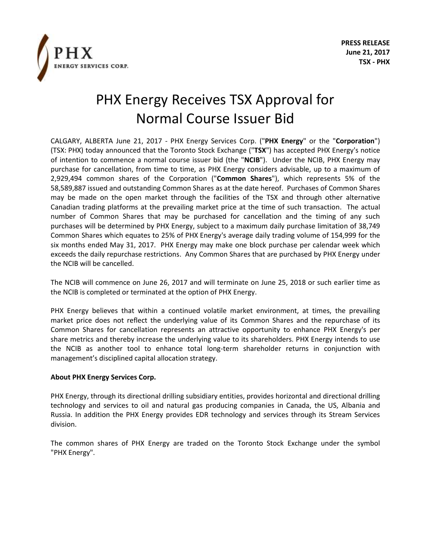

## PHX Energy Receives TSX Approval for Normal Course Issuer Bid

CALGARY, ALBERTA June 21, 2017 - PHX Energy Services Corp. ("**PHX Energy**" or the "**Corporation**") (TSX: PHX) today announced that the Toronto Stock Exchange ("**TSX**") has accepted PHX Energy's notice of intention to commence a normal course issuer bid (the "**NCIB**"). Under the NCIB, PHX Energy may purchase for cancellation, from time to time, as PHX Energy considers advisable, up to a maximum of 2,929,494 common shares of the Corporation ("**Common Shares**"), which represents 5% of the 58,589,887 issued and outstanding Common Shares as at the date hereof. Purchases of Common Shares may be made on the open market through the facilities of the TSX and through other alternative Canadian trading platforms at the prevailing market price at the time of such transaction. The actual number of Common Shares that may be purchased for cancellation and the timing of any such purchases will be determined by PHX Energy, subject to a maximum daily purchase limitation of 38,749 Common Shares which equates to 25% of PHX Energy's average daily trading volume of 154,999 for the six months ended May 31, 2017. PHX Energy may make one block purchase per calendar week which exceeds the daily repurchase restrictions. Any Common Shares that are purchased by PHX Energy under the NCIB will be cancelled.

The NCIB will commence on June 26, 2017 and will terminate on June 25, 2018 or such earlier time as the NCIB is completed or terminated at the option of PHX Energy.

PHX Energy believes that within a continued volatile market environment, at times, the prevailing market price does not reflect the underlying value of its Common Shares and the repurchase of its Common Shares for cancellation represents an attractive opportunity to enhance PHX Energy's per share metrics and thereby increase the underlying value to its shareholders. PHX Energy intends to use the NCIB as another tool to enhance total long-term shareholder returns in conjunction with management's disciplined capital allocation strategy.

## **About PHX Energy Services Corp.**

PHX Energy, through its directional drilling subsidiary entities, provides horizontal and directional drilling technology and services to oil and natural gas producing companies in Canada, the US, Albania and Russia. In addition the PHX Energy provides EDR technology and services through its Stream Services division.

The common shares of PHX Energy are traded on the Toronto Stock Exchange under the symbol "PHX Energy".